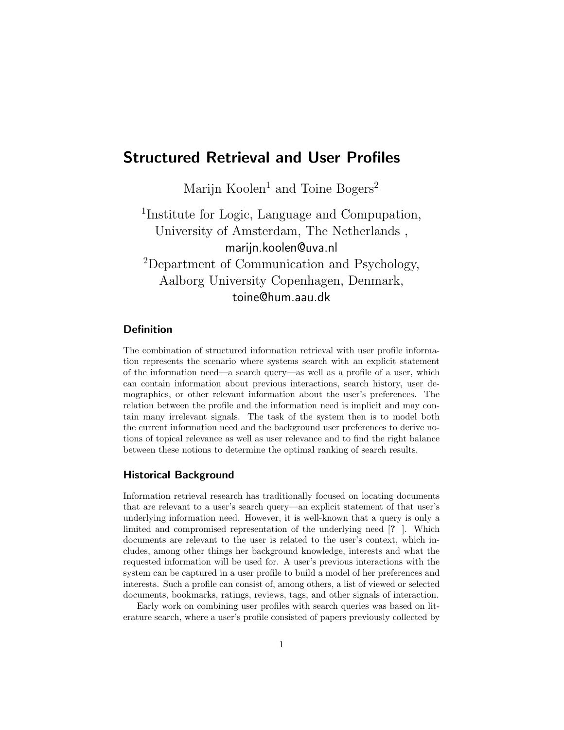# Structured Retrieval and User Profiles

Marijn Koolen<sup>1</sup> and Toine Bogers<sup>2</sup>

1 Institute for Logic, Language and Compupation, University of Amsterdam, The Netherlands , marijn.koolen@uva.nl <sup>2</sup>Department of Communication and Psychology, Aalborg University Copenhagen, Denmark, toine@hum.aau.dk

## Definition

The combination of structured information retrieval with user profile information represents the scenario where systems search with an explicit statement of the information need—a search query—as well as a profile of a user, which can contain information about previous interactions, search history, user demographics, or other relevant information about the user's preferences. The relation between the profile and the information need is implicit and may contain many irrelevant signals. The task of the system then is to model both the current information need and the background user preferences to derive notions of topical relevance as well as user relevance and to find the right balance between these notions to determine the optimal ranking of search results.

#### Historical Background

Information retrieval research has traditionally focused on locating documents that are relevant to a user's search query—an explicit statement of that user's underlying information need. However, it is well-known that a query is only a limited and compromised representation of the underlying need [? ]. Which documents are relevant to the user is related to the user's context, which includes, among other things her background knowledge, interests and what the requested information will be used for. A user's previous interactions with the system can be captured in a user profile to build a model of her preferences and interests. Such a profile can consist of, among others, a list of viewed or selected documents, bookmarks, ratings, reviews, tags, and other signals of interaction.

Early work on combining user profiles with search queries was based on literature search, where a user's profile consisted of papers previously collected by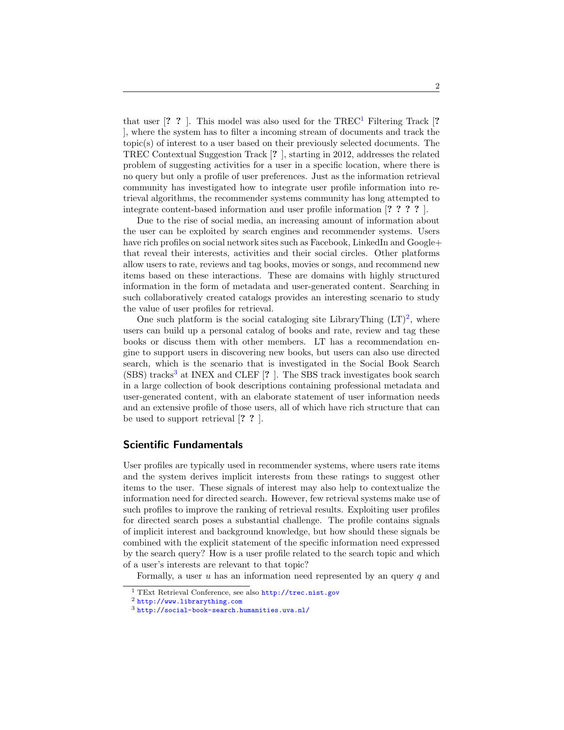that user  $[? ?]$ . This model was also used for the TREC<sup>[1](#page-1-0)</sup> Filtering Track  $[?$ ], where the system has to filter a incoming stream of documents and track the topic(s) of interest to a user based on their previously selected documents. The TREC Contextual Suggestion Track [? ], starting in 2012, addresses the related problem of suggesting activities for a user in a specific location, where there is no query but only a profile of user preferences. Just as the information retrieval community has investigated how to integrate user profile information into retrieval algorithms, the recommender systems community has long attempted to integrate content-based information and user profile information [? ? ? ? ].

Due to the rise of social media, an increasing amount of information about the user can be exploited by search engines and recommender systems. Users have rich profiles on social network sites such as Facebook, LinkedIn and Google+ that reveal their interests, activities and their social circles. Other platforms allow users to rate, reviews and tag books, movies or songs, and recommend new items based on these interactions. These are domains with highly structured information in the form of metadata and user-generated content. Searching in such collaboratively created catalogs provides an interesting scenario to study the value of user profiles for retrieval.

One such platform is the social cataloging site LibraryThing  $(LT)^2$  $(LT)^2$ , where users can build up a personal catalog of books and rate, review and tag these books or discuss them with other members. LT has a recommendation engine to support users in discovering new books, but users can also use directed search, which is the scenario that is investigated in the Social Book Search  $(SBS)$  tracks<sup>[3](#page-1-2)</sup> at INEX and CLEF  $[? \]$ . The SBS track investigates book search in a large collection of book descriptions containing professional metadata and user-generated content, with an elaborate statement of user information needs and an extensive profile of those users, all of which have rich structure that can be used to support retrieval [? ? ].

#### Scientific Fundamentals

User profiles are typically used in recommender systems, where users rate items and the system derives implicit interests from these ratings to suggest other items to the user. These signals of interest may also help to contextualize the information need for directed search. However, few retrieval systems make use of such profiles to improve the ranking of retrieval results. Exploiting user profiles for directed search poses a substantial challenge. The profile contains signals of implicit interest and background knowledge, but how should these signals be combined with the explicit statement of the specific information need expressed by the search query? How is a user profile related to the search topic and which of a user's interests are relevant to that topic?

Formally, a user  $u$  has an information need represented by an query  $q$  and

<span id="page-1-0"></span><sup>1</sup> TExt Retrieval Conference, see also <http://trec.nist.gov>

<span id="page-1-1"></span><sup>2</sup> <http://www.librarything.com>

<span id="page-1-2"></span><sup>3</sup> <http://social-book-search.humanities.uva.nl/>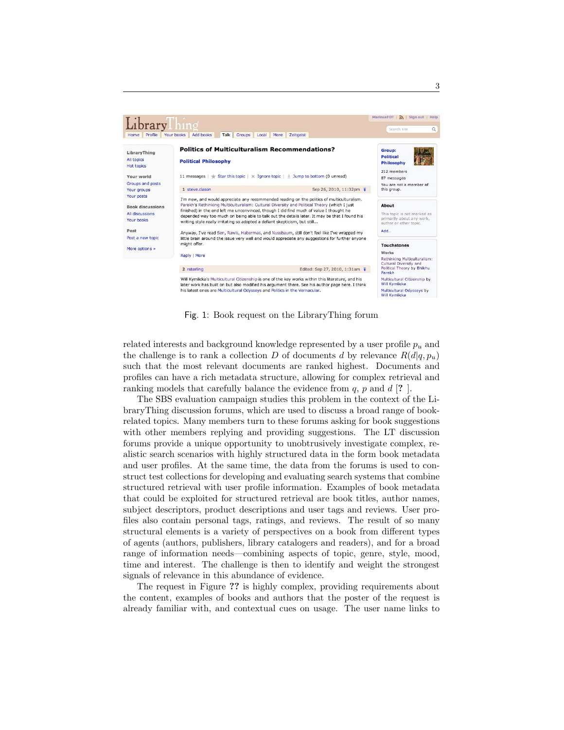

Fig. 1: Book request on the LibraryThing forum

related interests and background knowledge represented by a user profile  $p_u$  and the challenge is to rank a collection D of documents d by relevance  $R(d|q, p_u)$ such that the most relevant documents are ranked highest. Documents and profiles can have a rich metadata structure, allowing for complex retrieval and ranking models that carefully balance the evidence from  $q$ ,  $p$  and  $d$  [?].

The SBS evaluation campaign studies this problem in the context of the LibraryThing discussion forums, which are used to discuss a broad range of bookrelated topics. Many members turn to these forums asking for book suggestions with other members replying and providing suggestions. The LT discussion forums provide a unique opportunity to unobtrusively investigate complex, realistic search scenarios with highly structured data in the form book metadata and user profiles. At the same time, the data from the forums is used to construct test collections for developing and evaluating search systems that combine structured retrieval with user profile information. Examples of book metadata that could be exploited for structured retrieval are book titles, author names, subject descriptors, product descriptions and user tags and reviews. User profiles also contain personal tags, ratings, and reviews. The result of so many structural elements is a variety of perspectives on a book from different types of agents (authors, publishers, library catalogers and readers), and for a broad range of information needs—combining aspects of topic, genre, style, mood, time and interest. The challenge is then to identify and weight the strongest signals of relevance in this abundance of evidence.

The request in Figure ?? is highly complex, providing requirements about the content, examples of books and authors that the poster of the request is already familiar with, and contextual cues on usage. The user name links to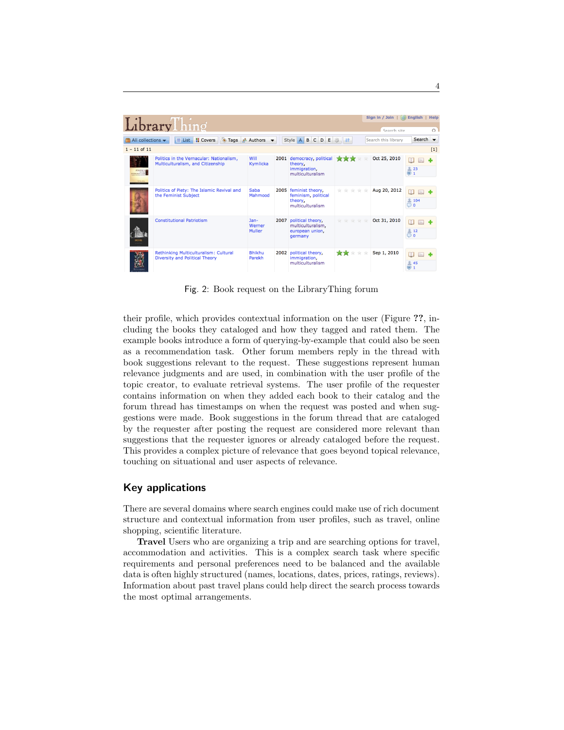| LibraryThing                                |                                                                               |                            |  |                                                                             |                            | Sign in / Join   (a) English  <br>Search site |                                      |
|---------------------------------------------|-------------------------------------------------------------------------------|----------------------------|--|-----------------------------------------------------------------------------|----------------------------|-----------------------------------------------|--------------------------------------|
| $\Box$ All collections $\blacktriangledown$ | <b>Tags</b><br><b>H</b> Covers<br>$\equiv$ List                               | Authors                    |  | Style A B C D E                                                             | <b>参</b> 上                 | Search this library                           | Search $\blacktriangleright$         |
| $1 - 11$ of 11                              |                                                                               |                            |  |                                                                             |                            |                                               | [1]                                  |
| <b>POLITICS</b><br>NTRobbs                  | Politics in the Vernacular: Nationalism.<br>Multiculturalism, and Citizenship | Will<br>Kymlicka           |  | 2001 democracy, political<br>theory,<br>immigration,<br>multiculturalism    | <b>THE TABLE THAT</b>      | Oct 25, 2010                                  | m<br>$\Box$<br>223<br>$\blacksquare$ |
|                                             | Politics of Piety: The Islamic Revival and<br>the Feminist Subject            | Saba<br>Mahmood            |  | 2005 feminist theory,<br>feminism, political<br>theory.<br>multiculturalism | the the the<br><b>Tilt</b> | Aug 20, 2012                                  | m<br><b>2 104</b><br>$\Box$ 0        |
|                                             | <b>Constitutional Patriotism</b>                                              | $Jan-$<br>Werner<br>Muller |  | 2007 political theory,<br>multiculturalism.<br>european union.<br>germany   | ****<br>nis                | Oct 31, 2010                                  | 212<br>$\circ$                       |
|                                             | Rethinking Multiculturalism: Cultural<br>Diversity and Political Theory       | <b>Bhikhu</b><br>Parekh    |  | 2002 political theory,<br>immigration,<br>multiculturalism                  | - sie<br>***<br>nie.       | Sep 1, 2010                                   | m<br><b>245</b><br>ō                 |

Fig. 2: Book request on the LibraryThing forum

their profile, which provides contextual information on the user (Figure ??, including the books they cataloged and how they tagged and rated them. The example books introduce a form of querying-by-example that could also be seen as a recommendation task. Other forum members reply in the thread with book suggestions relevant to the request. These suggestions represent human relevance judgments and are used, in combination with the user profile of the topic creator, to evaluate retrieval systems. The user profile of the requester contains information on when they added each book to their catalog and the forum thread has timestamps on when the request was posted and when suggestions were made. Book suggestions in the forum thread that are cataloged by the requester after posting the request are considered more relevant than suggestions that the requester ignores or already cataloged before the request. This provides a complex picture of relevance that goes beyond topical relevance, touching on situational and user aspects of relevance.

#### Key applications

There are several domains where search engines could make use of rich document structure and contextual information from user profiles, such as travel, online shopping, scientific literature.

Travel Users who are organizing a trip and are searching options for travel, accommodation and activities. This is a complex search task where specific requirements and personal preferences need to be balanced and the available data is often highly structured (names, locations, dates, prices, ratings, reviews). Information about past travel plans could help direct the search process towards the most optimal arrangements.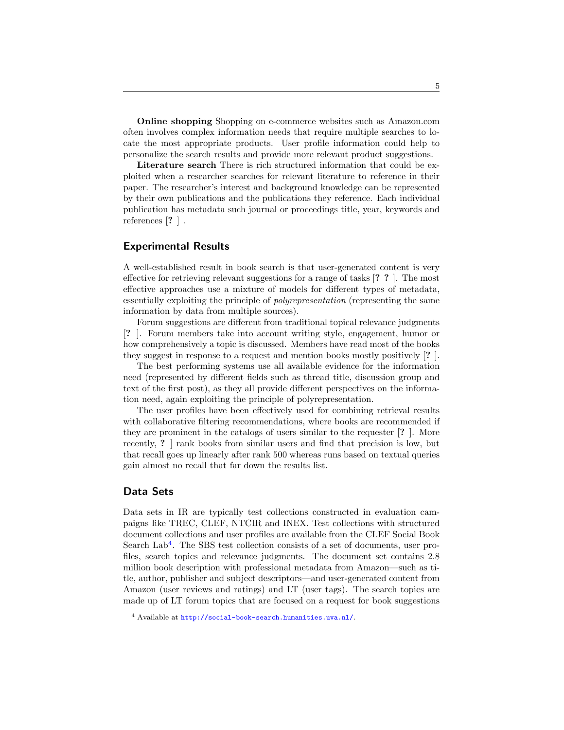Online shopping Shopping on e-commerce websites such as Amazon.com often involves complex information needs that require multiple searches to locate the most appropriate products. User profile information could help to personalize the search results and provide more relevant product suggestions.

Literature search There is rich structured information that could be exploited when a researcher searches for relevant literature to reference in their paper. The researcher's interest and background knowledge can be represented by their own publications and the publications they reference. Each individual publication has metadata such journal or proceedings title, year, keywords and references [? ] .

### Experimental Results

A well-established result in book search is that user-generated content is very effective for retrieving relevant suggestions for a range of tasks [? ? ]. The most effective approaches use a mixture of models for different types of metadata, essentially exploiting the principle of polyrepresentation (representing the same information by data from multiple sources).

Forum suggestions are different from traditional topical relevance judgments [? ]. Forum members take into account writing style, engagement, humor or how comprehensively a topic is discussed. Members have read most of the books they suggest in response to a request and mention books mostly positively [? ].

The best performing systems use all available evidence for the information need (represented by different fields such as thread title, discussion group and text of the first post), as they all provide different perspectives on the information need, again exploiting the principle of polyrepresentation.

The user profiles have been effectively used for combining retrieval results with collaborative filtering recommendations, where books are recommended if they are prominent in the catalogs of users similar to the requester [? ]. More recently, ? ] rank books from similar users and find that precision is low, but that recall goes up linearly after rank 500 whereas runs based on textual queries gain almost no recall that far down the results list.

#### Data Sets

Data sets in IR are typically test collections constructed in evaluation campaigns like TREC, CLEF, NTCIR and INEX. Test collections with structured document collections and user profiles are available from the CLEF Social Book Search Lab<sup>[4](#page-4-0)</sup>. The SBS test collection consists of a set of documents, user profiles, search topics and relevance judgments. The document set contains 2.8 million book description with professional metadata from Amazon—such as title, author, publisher and subject descriptors—and user-generated content from Amazon (user reviews and ratings) and LT (user tags). The search topics are made up of LT forum topics that are focused on a request for book suggestions

<span id="page-4-0"></span><sup>4</sup> Available at <http://social-book-search.humanities.uva.nl/>.